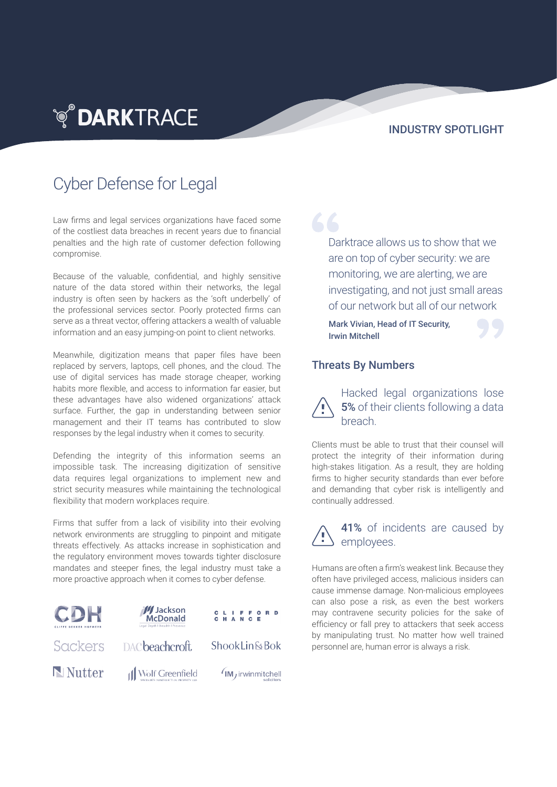**TO DARKTRACE** 

## INDUSTRY SPOTLIGHT

## Cyber Defense for Legal

Law firms and legal services organizations have faced some of the costliest data breaches in recent years due to financial penalties and the high rate of customer defection following compromise.

Because of the valuable, confidential, and highly sensitive nature of the data stored within their networks, the legal industry is often seen by hackers as the 'soft underbelly' of the professional services sector. Poorly protected firms can serve as a threat vector, offering attackers a wealth of valuable information and an easy jumping-on point to client networks.

Meanwhile, digitization means that paper files have been replaced by servers, laptops, cell phones, and the cloud. The use of digital services has made storage cheaper, working habits more flexible, and access to information far easier, but these advantages have also widened organizations' attack surface. Further, the gap in understanding between senior management and their IT teams has contributed to slow responses by the legal industry when it comes to security.

Defending the integrity of this information seems an impossible task. The increasing digitization of sensitive data requires legal organizations to implement new and strict security measures while maintaining the technological flexibility that modern workplaces require.

Firms that suffer from a lack of visibility into their evolving network environments are struggling to pinpoint and mitigate threats effectively. As attacks increase in sophistication and the regulatory environment moves towards tighter disclosure mandates and steeper fines, the legal industry must take a more proactive approach when it comes to cyber defense.



66 Darktrace allows us to show that we are on top of cyber security: we are monitoring, we are alerting, we are investigating, and not just small areas of our network but all of our network

Mark Vivian, Head of IT Security, Irwin Mitchell



## Threats By Numbers

Hacked legal organizations lose 5% of their clients following a data breach.

Clients must be able to trust that their counsel will protect the integrity of their information during high-stakes litigation. As a result, they are holding firms to higher security standards than ever before and demanding that cyber risk is intelligently and continually addressed.

41% of incidents are caused by employees.

Humans are often a firm's weakest link. Because they often have privileged access, malicious insiders can cause immense damage. Non-malicious employees can also pose a risk, as even the best workers may contravene security policies for the sake of efficiency or fall prey to attackers that seek access by manipulating trust. No matter how well trained personnel are, human error is always a risk.